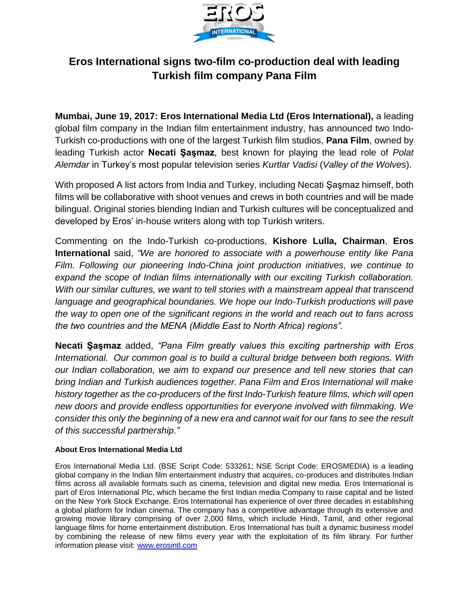

## **Eros International signs two-film co-production deal with leading Turkish film company Pana Film**

**Mumbai, June 19, 2017: Eros International Media Ltd (Eros International),** a leading global film company in the Indian film entertainment industry, has announced two Indo-Turkish co-productions with one of the largest Turkish film studios, **Pana Film**, owned by leading Turkish actor **Necati Şaşmaz**, best known for playing the lead role of *Polat Alemdar* in Turkey's most popular television series *Kurtlar Vadisi* (*Valley of the Wolves*).

With proposed A list actors from India and Turkey, including Necati Şaşmaz himself, both films will be collaborative with shoot venues and crews in both countries and will be made bilingual. Original stories blending Indian and Turkish cultures will be conceptualized and developed by Eros' in-house writers along with top Turkish writers.

Commenting on the Indo-Turkish co-productions, **Kishore Lulla, Chairman**, **Eros International** said, *"We are honored to associate with a powerhouse entity like Pana Film. Following our pioneering Indo-China joint production initiatives, we continue to expand the scope of Indian films internationally with our exciting Turkish collaboration. With our similar cultures, we want to tell stories with a mainstream appeal that transcend language and geographical boundaries. We hope our Indo-Turkish productions will pave the way to open one of the significant regions in the world and reach out to fans across the two countries and the MENA (Middle East to North Africa) regions".*

**Necati Şaşmaz** added, *"Pana Film greatly values this exciting partnership with Eros International. Our common goal is to build a cultural bridge between both regions. With our Indian collaboration, we aim to expand our presence and tell new stories that can bring Indian and Turkish audiences together. Pana Film and Eros International will make history together as the co-producers of the first Indo-Turkish feature films, which will open new doors and provide endless opportunities for everyone involved with filmmaking. We consider this only the beginning of a new era and cannot wait for our fans to see the result of this successful partnership."*

## **About Eros International Media Ltd**

Eros International Media Ltd. (BSE Script Code: 533261; NSE Script Code: EROSMEDIA) is a leading global company in the Indian film entertainment industry that acquires, co-produces and distributes Indian films across all available formats such as cinema, television and digital new media. Eros International is part of Eros International Plc, which became the first Indian media Company to raise capital and be listed on the New York Stock Exchange. Eros International has experience of over three decades in establishing a global platform for Indian cinema. The company has a competitive advantage through its extensive and growing movie library comprising of over 2,000 films, which include Hindi, Tamil, and other regional language films for home entertainment distribution. Eros International has built a dynamic business model by combining the release of new films every year with the exploitation of its film library. For further information please visit: [www.erosintl.com](http://www.erosintl.com/)